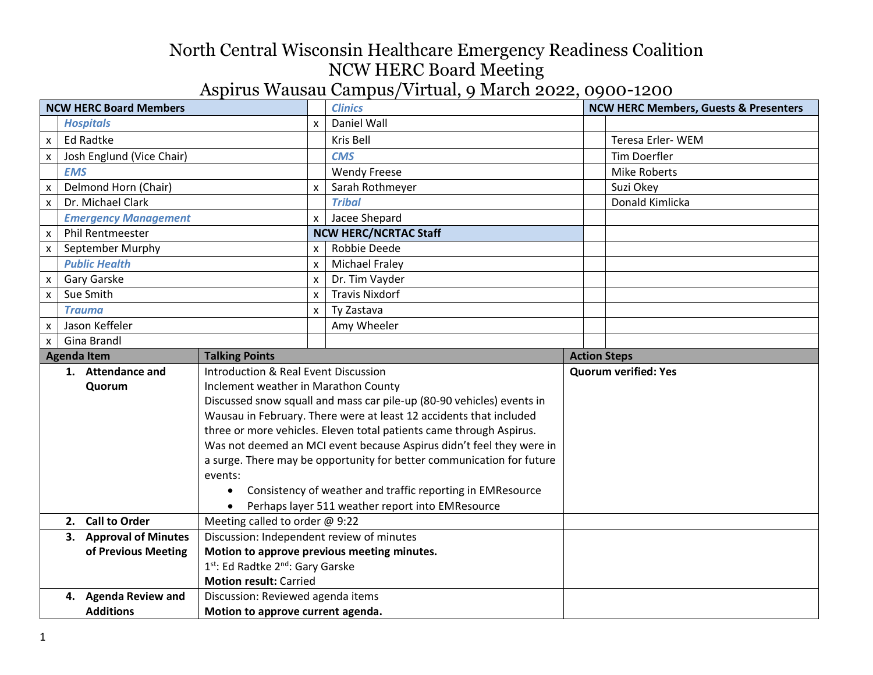| <b>NCW HERC Board Members</b> |                                                           |                                             | <b>Clinics</b>                                                        |  | <b>NCW HERC Members, Guests &amp; Presenters</b> |  |
|-------------------------------|-----------------------------------------------------------|---------------------------------------------|-----------------------------------------------------------------------|--|--------------------------------------------------|--|
|                               | <b>Hospitals</b>                                          | X                                           | Daniel Wall                                                           |  |                                                  |  |
| $\pmb{\mathsf{X}}$            | <b>Ed Radtke</b>                                          |                                             | Kris Bell                                                             |  | Teresa Erler-WEM                                 |  |
| $\pmb{\mathsf{x}}$            | Josh Englund (Vice Chair)                                 |                                             | <b>CMS</b>                                                            |  | <b>Tim Doerfler</b>                              |  |
|                               | <b>EMS</b>                                                |                                             | <b>Wendy Freese</b>                                                   |  | <b>Mike Roberts</b>                              |  |
| X                             | Delmond Horn (Chair)                                      | $\mathsf{x}$                                | Sarah Rothmeyer                                                       |  | Suzi Okey                                        |  |
| $\pmb{\mathsf{x}}$            | Dr. Michael Clark                                         |                                             | <b>Tribal</b>                                                         |  | Donald Kimlicka                                  |  |
|                               | <b>Emergency Management</b>                               | x                                           | Jacee Shepard                                                         |  |                                                  |  |
| X                             | <b>Phil Rentmeester</b>                                   |                                             | <b>NCW HERC/NCRTAC Staff</b>                                          |  |                                                  |  |
| $\pmb{\mathsf{x}}$            | September Murphy                                          | $\boldsymbol{\mathsf{x}}$                   | Robbie Deede                                                          |  |                                                  |  |
|                               | <b>Public Health</b>                                      | $\mathsf{x}$                                | <b>Michael Fraley</b>                                                 |  |                                                  |  |
| X                             | <b>Gary Garske</b>                                        | $\boldsymbol{\mathsf{x}}$                   | Dr. Tim Vayder                                                        |  |                                                  |  |
| X                             | Sue Smith                                                 | $\boldsymbol{\mathsf{x}}$                   | <b>Travis Nixdorf</b>                                                 |  |                                                  |  |
|                               | <b>Trauma</b>                                             | $\pmb{\mathsf{X}}$                          | Ty Zastava                                                            |  |                                                  |  |
| X                             | Jason Keffeler                                            |                                             | Amy Wheeler                                                           |  |                                                  |  |
| $\mathsf{x}$                  | Gina Brandl                                               |                                             |                                                                       |  |                                                  |  |
|                               | <b>Talking Points</b><br><b>Agenda Item</b>               |                                             |                                                                       |  | <b>Action Steps</b>                              |  |
|                               | 1. Attendance and<br>Introduction & Real Event Discussion |                                             |                                                                       |  | <b>Quorum verified: Yes</b>                      |  |
|                               | Inclement weather in Marathon County<br>Quorum            |                                             |                                                                       |  |                                                  |  |
|                               |                                                           |                                             | Discussed snow squall and mass car pile-up (80-90 vehicles) events in |  |                                                  |  |
|                               |                                                           |                                             | Wausau in February. There were at least 12 accidents that included    |  |                                                  |  |
|                               |                                                           |                                             | three or more vehicles. Eleven total patients came through Aspirus.   |  |                                                  |  |
|                               |                                                           |                                             | Was not deemed an MCI event because Aspirus didn't feel they were in  |  |                                                  |  |
|                               |                                                           |                                             | a surge. There may be opportunity for better communication for future |  |                                                  |  |
|                               | events:                                                   |                                             |                                                                       |  |                                                  |  |
|                               |                                                           |                                             | Consistency of weather and traffic reporting in EMResource            |  |                                                  |  |
|                               | $\bullet$                                                 |                                             | Perhaps layer 511 weather report into EMResource                      |  |                                                  |  |
|                               | 2. Call to Order<br>Meeting called to order @ 9:22        |                                             |                                                                       |  |                                                  |  |
|                               | 3. Approval of Minutes                                    |                                             | Discussion: Independent review of minutes                             |  |                                                  |  |
|                               | of Previous Meeting                                       | Motion to approve previous meeting minutes. |                                                                       |  |                                                  |  |
|                               |                                                           | 1st: Ed Radtke 2nd: Gary Garske             |                                                                       |  |                                                  |  |
|                               |                                                           | <b>Motion result: Carried</b>               |                                                                       |  |                                                  |  |
|                               | Discussion: Reviewed agenda items<br>4. Agenda Review and |                                             |                                                                       |  |                                                  |  |
|                               | <b>Additions</b><br>Motion to approve current agenda.     |                                             |                                                                       |  |                                                  |  |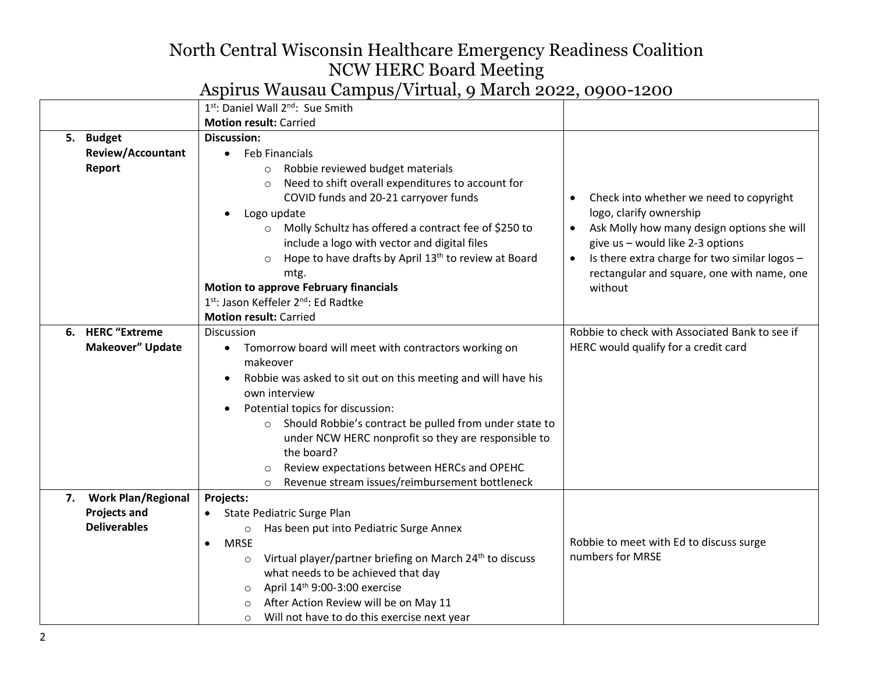|    |                                        | 1st: Daniel Wall 2nd: Sue Smith                                                                                                                                                                                                                                                                                                                                                                                                                                      |                                                                                                                                                                                                                                                                             |
|----|----------------------------------------|----------------------------------------------------------------------------------------------------------------------------------------------------------------------------------------------------------------------------------------------------------------------------------------------------------------------------------------------------------------------------------------------------------------------------------------------------------------------|-----------------------------------------------------------------------------------------------------------------------------------------------------------------------------------------------------------------------------------------------------------------------------|
|    |                                        | <b>Motion result: Carried</b>                                                                                                                                                                                                                                                                                                                                                                                                                                        |                                                                                                                                                                                                                                                                             |
| 5. | <b>Budget</b>                          | <b>Discussion:</b>                                                                                                                                                                                                                                                                                                                                                                                                                                                   |                                                                                                                                                                                                                                                                             |
|    | <b>Review/Accountant</b>               | • Feb Financials                                                                                                                                                                                                                                                                                                                                                                                                                                                     |                                                                                                                                                                                                                                                                             |
|    | Report                                 | Robbie reviewed budget materials<br>$\circ$<br>Need to shift overall expenditures to account for<br>$\circ$<br>COVID funds and 20-21 carryover funds<br>Logo update<br>Molly Schultz has offered a contract fee of \$250 to<br>$\circ$<br>include a logo with vector and digital files<br>Hope to have drafts by April 13 <sup>th</sup> to review at Board<br>$\circ$<br>mtg.<br><b>Motion to approve February financials</b><br>1st: Jason Keffeler 2nd: Ed Radtke  | Check into whether we need to copyright<br>logo, clarify ownership<br>Ask Molly how many design options she will<br>give us - would like 2-3 options<br>Is there extra charge for two similar logos -<br>$\bullet$<br>rectangular and square, one with name, one<br>without |
|    |                                        | <b>Motion result: Carried</b>                                                                                                                                                                                                                                                                                                                                                                                                                                        |                                                                                                                                                                                                                                                                             |
|    | 6. HERC "Extreme                       | Discussion                                                                                                                                                                                                                                                                                                                                                                                                                                                           | Robbie to check with Associated Bank to see if                                                                                                                                                                                                                              |
|    | Makeover" Update                       | Tomorrow board will meet with contractors working on<br>$\bullet$<br>makeover<br>Robbie was asked to sit out on this meeting and will have his<br>own interview<br>Potential topics for discussion:<br>Should Robbie's contract be pulled from under state to<br>$\circ$<br>under NCW HERC nonprofit so they are responsible to<br>the board?<br>Review expectations between HERCs and OPEHC<br>$\circ$<br>Revenue stream issues/reimbursement bottleneck<br>$\circ$ | HERC would qualify for a credit card                                                                                                                                                                                                                                        |
| 7. | <b>Work Plan/Regional</b><br>Projects: |                                                                                                                                                                                                                                                                                                                                                                                                                                                                      |                                                                                                                                                                                                                                                                             |
|    | <b>Projects and</b>                    | State Pediatric Surge Plan                                                                                                                                                                                                                                                                                                                                                                                                                                           |                                                                                                                                                                                                                                                                             |
|    | <b>Deliverables</b>                    | Has been put into Pediatric Surge Annex<br>$\circ$                                                                                                                                                                                                                                                                                                                                                                                                                   |                                                                                                                                                                                                                                                                             |
|    |                                        | <b>MRSE</b><br>$\bullet$<br>Virtual player/partner briefing on March 24 <sup>th</sup> to discuss<br>$\circ$<br>what needs to be achieved that day<br>April 14th 9:00-3:00 exercise<br>$\circ$<br>After Action Review will be on May 11<br>Will not have to do this exercise next year<br>$\circ$                                                                                                                                                                     | Robbie to meet with Ed to discuss surge<br>numbers for MRSE                                                                                                                                                                                                                 |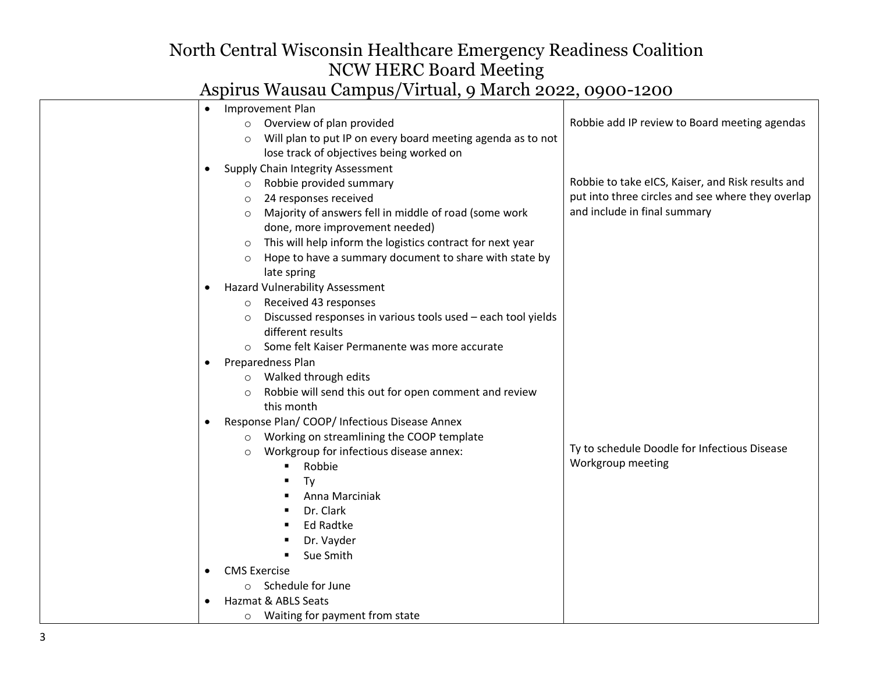| Improvement Plan<br>$\bullet$                                                                   |                                                   |
|-------------------------------------------------------------------------------------------------|---------------------------------------------------|
| $\circ$ Overview of plan provided                                                               | Robbie add IP review to Board meeting agendas     |
| Will plan to put IP on every board meeting agenda as to not<br>$\circ$                          |                                                   |
| lose track of objectives being worked on                                                        |                                                   |
| Supply Chain Integrity Assessment                                                               |                                                   |
| Robbie provided summary<br>$\circ$                                                              | Robbie to take eICS, Kaiser, and Risk results and |
| 24 responses received<br>$\circ$                                                                | put into three circles and see where they overlap |
| Majority of answers fell in middle of road (some work<br>$\circ$                                | and include in final summary                      |
| done, more improvement needed)                                                                  |                                                   |
| This will help inform the logistics contract for next year<br>$\circ$                           |                                                   |
| Hope to have a summary document to share with state by<br>$\circ$                               |                                                   |
| late spring                                                                                     |                                                   |
| <b>Hazard Vulnerability Assessment</b>                                                          |                                                   |
| Received 43 responses<br>$\circ$                                                                |                                                   |
| Discussed responses in various tools used - each tool yields<br>$\circ$                         |                                                   |
| different results                                                                               |                                                   |
| ○ Some felt Kaiser Permanente was more accurate                                                 |                                                   |
| Preparedness Plan                                                                               |                                                   |
| Walked through edits<br>$\circ$                                                                 |                                                   |
| Robbie will send this out for open comment and review<br>$\circ$                                |                                                   |
| this month                                                                                      |                                                   |
| Response Plan/ COOP/ Infectious Disease Annex                                                   |                                                   |
| Working on streamlining the COOP template<br>$\circ$<br>Workgroup for infectious disease annex: | Ty to schedule Doodle for Infectious Disease      |
| $\circ$<br>Robbie<br>٠                                                                          | Workgroup meeting                                 |
| Ty                                                                                              |                                                   |
| Anna Marciniak                                                                                  |                                                   |
| Dr. Clark                                                                                       |                                                   |
| <b>Ed Radtke</b>                                                                                |                                                   |
| Dr. Vayder                                                                                      |                                                   |
| Sue Smith                                                                                       |                                                   |
| <b>CMS Exercise</b>                                                                             |                                                   |
| Schedule for June<br>$\circ$                                                                    |                                                   |
| Hazmat & ABLS Seats                                                                             |                                                   |
| Waiting for payment from state<br>$\circ$                                                       |                                                   |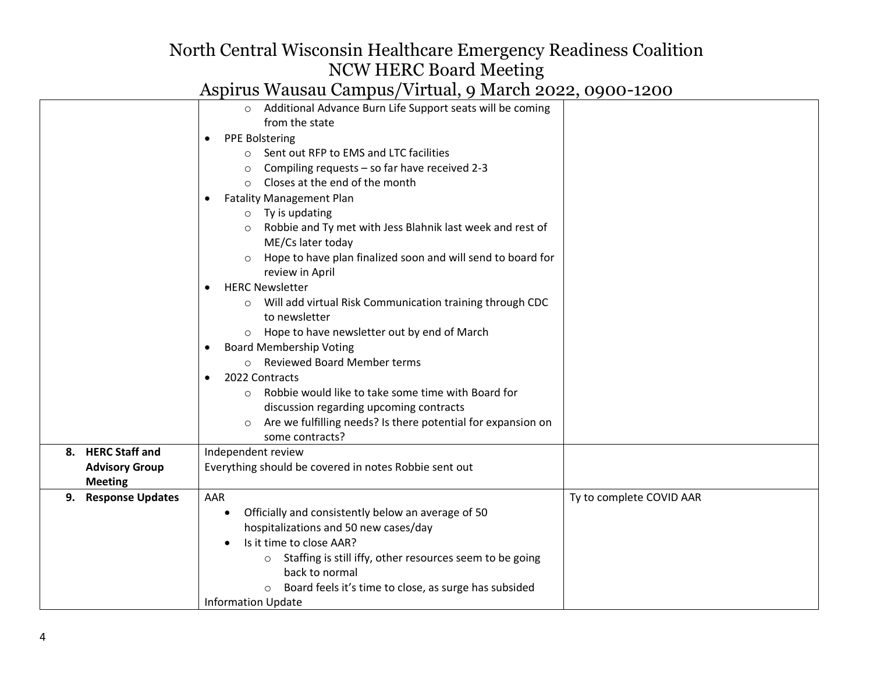|                               | o Additional Advance Burn Life Support seats will be coming                    |                          |
|-------------------------------|--------------------------------------------------------------------------------|--------------------------|
|                               | from the state                                                                 |                          |
|                               | <b>PPE Bolstering</b><br>٠                                                     |                          |
|                               | Sent out RFP to EMS and LTC facilities<br>$\circ$                              |                          |
|                               | Compiling requests - so far have received 2-3<br>$\circ$                       |                          |
|                               | Closes at the end of the month<br>$\bigcirc$                                   |                          |
|                               | <b>Fatality Management Plan</b>                                                |                          |
|                               | $\circ$ Ty is updating                                                         |                          |
|                               | Robbie and Ty met with Jess Blahnik last week and rest of<br>ME/Cs later today |                          |
|                               | Hope to have plan finalized soon and will send to board for<br>review in April |                          |
|                               | <b>HERC Newsletter</b><br>٠                                                    |                          |
|                               | o Will add virtual Risk Communication training through CDC                     |                          |
|                               | to newsletter                                                                  |                          |
|                               | o Hope to have newsletter out by end of March                                  |                          |
|                               | <b>Board Membership Voting</b><br>٠                                            |                          |
|                               | o Reviewed Board Member terms                                                  |                          |
|                               | 2022 Contracts                                                                 |                          |
|                               | Robbie would like to take some time with Board for<br>$\circ$                  |                          |
|                               | discussion regarding upcoming contracts                                        |                          |
|                               | Are we fulfilling needs? Is there potential for expansion on                   |                          |
|                               | some contracts?                                                                |                          |
| 8. HERC Staff and             | Independent review                                                             |                          |
| <b>Advisory Group</b>         | Everything should be covered in notes Robbie sent out                          |                          |
| <b>Meeting</b>                |                                                                                |                          |
| <b>Response Updates</b><br>9. | AAR                                                                            | Ty to complete COVID AAR |
|                               | Officially and consistently below an average of 50<br>$\bullet$                |                          |
|                               | hospitalizations and 50 new cases/day                                          |                          |
|                               | Is it time to close AAR?                                                       |                          |
|                               | Staffing is still iffy, other resources seem to be going<br>$\circ$            |                          |
|                               | back to normal                                                                 |                          |
|                               | Board feels it's time to close, as surge has subsided<br>$\circ$               |                          |
|                               | <b>Information Update</b>                                                      |                          |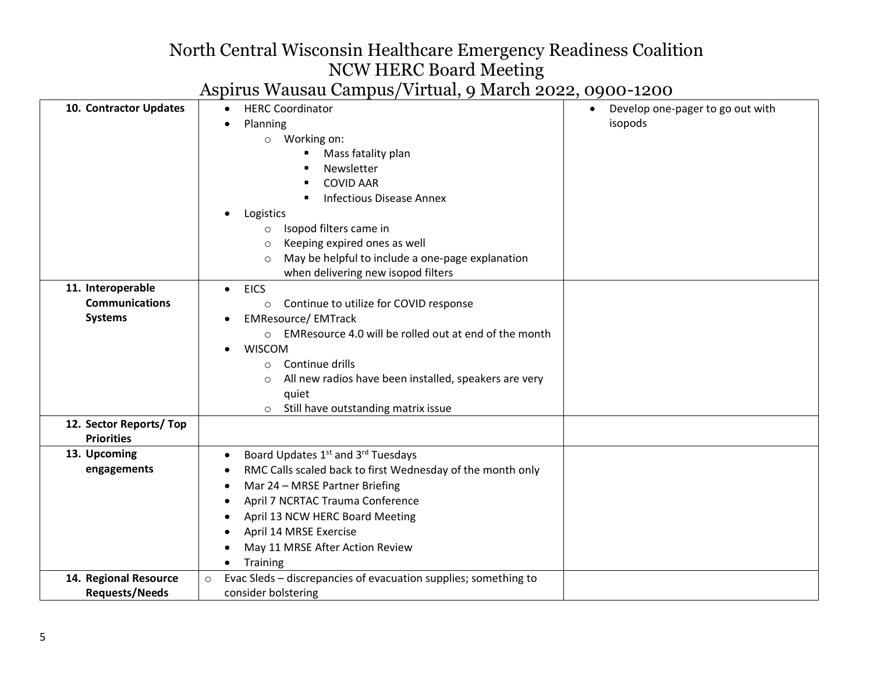| 10. Contractor Updates                                       | <b>HERC Coordinator</b><br>٠<br>Planning<br>Working on:<br>$\circ$<br>Mass fatality plan<br>п<br>Newsletter<br><b>COVID AAR</b><br><b>Infectious Disease Annex</b><br>Logistics<br>Isopod filters came in<br>$\circ$<br>Keeping expired ones as well<br>$\circ$<br>May be helpful to include a one-page explanation<br>$\circ$                                                                      | Develop one-pager to go out with<br>$\bullet$<br>isopods |
|--------------------------------------------------------------|-----------------------------------------------------------------------------------------------------------------------------------------------------------------------------------------------------------------------------------------------------------------------------------------------------------------------------------------------------------------------------------------------------|----------------------------------------------------------|
| 11. Interoperable<br><b>Communications</b><br><b>Systems</b> | when delivering new isopod filters<br><b>EICS</b><br>$\bullet$<br>Continue to utilize for COVID response<br>$\circ$<br><b>EMResource/ EMTrack</b><br>EMResource 4.0 will be rolled out at end of the month<br>$\circ$<br><b>WISCOM</b><br>Continue drills<br>$\circ$<br>All new radios have been installed, speakers are very<br>$\circ$<br>quiet<br>Still have outstanding matrix issue<br>$\circ$ |                                                          |
| 12. Sector Reports/Top<br><b>Priorities</b>                  |                                                                                                                                                                                                                                                                                                                                                                                                     |                                                          |
| 13. Upcoming<br>engagements                                  | Board Updates 1 <sup>st</sup> and 3 <sup>rd</sup> Tuesdays<br>٠<br>RMC Calls scaled back to first Wednesday of the month only<br>Mar 24 - MRSE Partner Briefing<br>April 7 NCRTAC Trauma Conference<br>April 13 NCW HERC Board Meeting<br>April 14 MRSE Exercise<br>May 11 MRSE After Action Review<br><b>Training</b>                                                                              |                                                          |
| 14. Regional Resource<br><b>Requests/Needs</b>               | Evac Sleds - discrepancies of evacuation supplies; something to<br>$\circ$<br>consider bolstering                                                                                                                                                                                                                                                                                                   |                                                          |